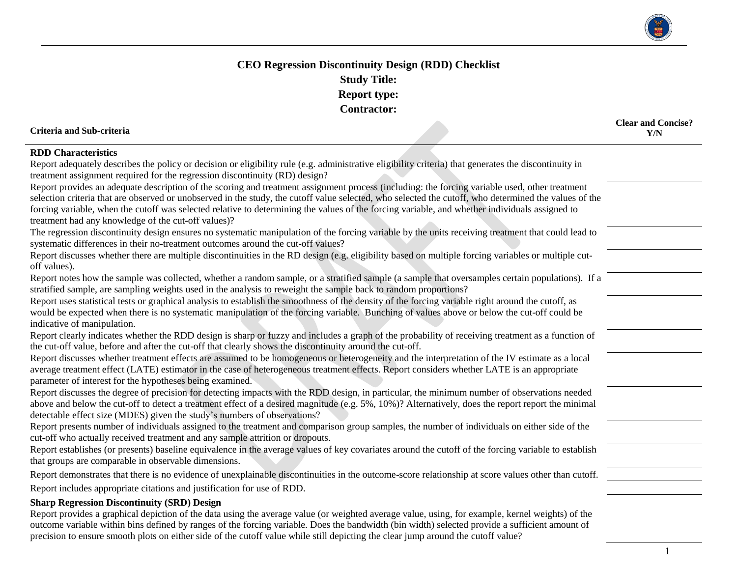

## **CEO Regression Discontinuity Design (RDD) Checklist Study Title: Report type: Contractor:**

## **Criteria and Sub-criteria**

**Clear and Concise? Y/N**

## **RDD Characteristics**

| Report adequately describes the policy or decision or eligibility rule (e.g. administrative eligibility criteria) that generates the discontinuity in<br>treatment assignment required for the regression discontinuity (RD) design?                                                                                                                                                                                                                      |  |
|-----------------------------------------------------------------------------------------------------------------------------------------------------------------------------------------------------------------------------------------------------------------------------------------------------------------------------------------------------------------------------------------------------------------------------------------------------------|--|
| Report provides an adequate description of the scoring and treatment assignment process (including: the forcing variable used, other treatment<br>selection criteria that are observed or unobserved in the study, the cutoff value selected, who selected the cutoff, who determined the values of the<br>forcing variable, when the cutoff was selected relative to determining the values of the forcing variable, and whether individuals assigned to |  |
| treatment had any knowledge of the cut-off values)?<br>The regression discontinuity design ensures no systematic manipulation of the forcing variable by the units receiving treatment that could lead to                                                                                                                                                                                                                                                 |  |
| systematic differences in their no-treatment outcomes around the cut-off values?                                                                                                                                                                                                                                                                                                                                                                          |  |
| Report discusses whether there are multiple discontinuities in the RD design (e.g. eligibility based on multiple forcing variables or multiple cut-<br>off values).                                                                                                                                                                                                                                                                                       |  |
| Report notes how the sample was collected, whether a random sample, or a stratified sample (a sample that oversamples certain populations). If a<br>stratified sample, are sampling weights used in the analysis to reweight the sample back to random proportions?                                                                                                                                                                                       |  |
| Report uses statistical tests or graphical analysis to establish the smoothness of the density of the forcing variable right around the cutoff, as                                                                                                                                                                                                                                                                                                        |  |
| would be expected when there is no systematic manipulation of the forcing variable. Bunching of values above or below the cut-off could be<br>indicative of manipulation.                                                                                                                                                                                                                                                                                 |  |
| Report clearly indicates whether the RDD design is sharp or fuzzy and includes a graph of the probability of receiving treatment as a function of<br>the cut-off value, before and after the cut-off that clearly shows the discontinuity around the cut-off.                                                                                                                                                                                             |  |
| Report discusses whether treatment effects are assumed to be homogeneous or heterogeneity and the interpretation of the IV estimate as a local<br>average treatment effect (LATE) estimator in the case of heterogeneous treatment effects. Report considers whether LATE is an appropriate<br>parameter of interest for the hypotheses being examined.                                                                                                   |  |
| Report discusses the degree of precision for detecting impacts with the RDD design, in particular, the minimum number of observations needed<br>above and below the cut-off to detect a treatment effect of a desired magnitude (e.g. 5%, 10%)? Alternatively, does the report report the minimal<br>detectable effect size (MDES) given the study's numbers of observations?                                                                             |  |
| Report presents number of individuals assigned to the treatment and comparison group samples, the number of individuals on either side of the<br>cut-off who actually received treatment and any sample attrition or dropouts.                                                                                                                                                                                                                            |  |
| Report establishes (or presents) baseline equivalence in the average values of key covariates around the cutoff of the forcing variable to establish<br>that groups are comparable in observable dimensions.                                                                                                                                                                                                                                              |  |
| Report demonstrates that there is no evidence of unexplainable discontinuities in the outcome-score relationship at score values other than cutoff.                                                                                                                                                                                                                                                                                                       |  |
| Report includes appropriate citations and justification for use of RDD.                                                                                                                                                                                                                                                                                                                                                                                   |  |
| <b>Sharp Regression Discontinuity (SRD) Design</b><br>Report provides a graphical depiction of the data using the average value (or weighted average value, using, for example, kernel weights) of the<br>outcome variable within bins defined by ranges of the forcing variable. Does the bandwidth (bin width) selected provide a sufficient amount of                                                                                                  |  |

precision to ensure smooth plots on either side of the cutoff value while still depicting the clear jump around the cutoff value?

1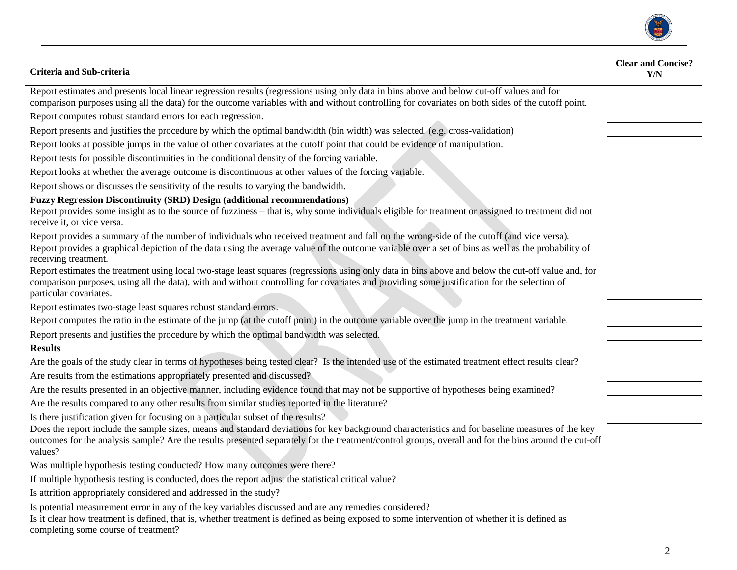

| Criteria and Sub-criteria                                                                                                                                                                                                                                                                                                   | <b>Clear and Concise?</b><br>Y/N |
|-----------------------------------------------------------------------------------------------------------------------------------------------------------------------------------------------------------------------------------------------------------------------------------------------------------------------------|----------------------------------|
| Report estimates and presents local linear regression results (regressions using only data in bins above and below cut-off values and for<br>comparison purposes using all the data) for the outcome variables with and without controlling for covariates on both sides of the cutoff point.                               |                                  |
| Report computes robust standard errors for each regression.                                                                                                                                                                                                                                                                 |                                  |
| Report presents and justifies the procedure by which the optimal bandwidth (bin width) was selected. (e.g. cross-validation)                                                                                                                                                                                                |                                  |
| Report looks at possible jumps in the value of other covariates at the cutoff point that could be evidence of manipulation.                                                                                                                                                                                                 |                                  |
| Report tests for possible discontinuities in the conditional density of the forcing variable.                                                                                                                                                                                                                               |                                  |
| Report looks at whether the average outcome is discontinuous at other values of the forcing variable.                                                                                                                                                                                                                       |                                  |
| Report shows or discusses the sensitivity of the results to varying the bandwidth.                                                                                                                                                                                                                                          |                                  |
| <b>Fuzzy Regression Discontinuity (SRD) Design (additional recommendations)</b><br>Report provides some insight as to the source of fuzziness – that is, why some individuals eligible for treatment or assigned to treatment did not<br>receive it, or vice versa.                                                         |                                  |
| Report provides a summary of the number of individuals who received treatment and fall on the wrong-side of the cutoff (and vice versa).<br>Report provides a graphical depiction of the data using the average value of the outcome variable over a set of bins as well as the probability of<br>receiving treatment.      |                                  |
| Report estimates the treatment using local two-stage least squares (regressions using only data in bins above and below the cut-off value and, for<br>comparison purposes, using all the data), with and without controlling for covariates and providing some justification for the selection of<br>particular covariates. |                                  |
| Report estimates two-stage least squares robust standard errors.                                                                                                                                                                                                                                                            |                                  |
| Report computes the ratio in the estimate of the jump (at the cutoff point) in the outcome variable over the jump in the treatment variable.                                                                                                                                                                                |                                  |
| Report presents and justifies the procedure by which the optimal bandwidth was selected.                                                                                                                                                                                                                                    |                                  |
| <b>Results</b>                                                                                                                                                                                                                                                                                                              |                                  |
| Are the goals of the study clear in terms of hypotheses being tested clear? Is the intended use of the estimated treatment effect results clear?                                                                                                                                                                            |                                  |
| Are results from the estimations appropriately presented and discussed?                                                                                                                                                                                                                                                     |                                  |
| Are the results presented in an objective manner, including evidence found that may not be supportive of hypotheses being examined?                                                                                                                                                                                         |                                  |
| Are the results compared to any other results from similar studies reported in the literature?                                                                                                                                                                                                                              |                                  |
| Is there justification given for focusing on a particular subset of the results?                                                                                                                                                                                                                                            |                                  |
| Does the report include the sample sizes, means and standard deviations for key background characteristics and for baseline measures of the key<br>outcomes for the analysis sample? Are the results presented separately for the treatment/control groups, overall and for the bins around the cut-off<br>values?          |                                  |
| Was multiple hypothesis testing conducted? How many outcomes were there?                                                                                                                                                                                                                                                    |                                  |
| If multiple hypothesis testing is conducted, does the report adjust the statistical critical value?                                                                                                                                                                                                                         |                                  |
| Is attrition appropriately considered and addressed in the study?                                                                                                                                                                                                                                                           |                                  |
| Is potential measurement error in any of the key variables discussed and are any remedies considered?                                                                                                                                                                                                                       |                                  |
| Is it clear how treatment is defined, that is, whether treatment is defined as being exposed to some intervention of whether it is defined as<br>completing some course of treatment?                                                                                                                                       |                                  |